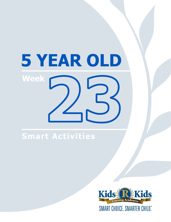# 5 YEAR OLD **Week**

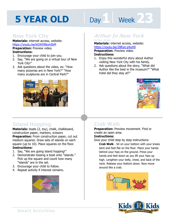# **Day 1 Week 23**

#### **New York City**

**Materials:** internet access, website: https://youtu.be/kGWI98omIbM **Preparation:** Preview video. **Instructions:** 

- 1. Encourage your child to join you.
- 2. Say, "We are going on a virtual tour of New York City!"
- 3. Ask questions about the video, ex: "How many pizzerias are in New York?" "How many sculptures are in Central Park?"



## **Arthur In New York**

**Materials:** internet access, website:

**https://youtu.be/28Rze-p4uH0<br><b>Preparation:** Preview video.<br>**Instructions:**<br>1 Friest this wonderful stars shout Auth **Preparation: Preview video. Instructions:** 

- 1. Enjoy this wonderful story about Author visiting New York City with his family.
- 2. Ask questions about the story, "What did Author like the best in the museum?" "What hotel did they stay at?"



## **Island Hopping**

Materials: boats (2, toy), chalk, chalkboard, construction paper, markers, scissors **Preparation:** From construction paper, cut out medium squares. Draw sets of islands on each square (up to 10). Place squares on the floor. **Instructions:** 

- 1. Say, "We are going island hopping!"
- 2. Demonstrate tossing a boat onto "islands." Pick up the square and count how many "islands" are in the set.
- 3. Encourage your child to follow.
- 4. Repeat activity if interest remains.



## **Crab Walk**

**Preparation:** Preview movement. Find or create an open area.

#### **Instructions:**

Give your child step by step instructions:

**Crab Walk** - Sit on your bottom with your knees bent and feet flat on the floor. Place your hands behind your hips on the ground. Press your hands and feet down as you lift your hips up high. Lengthen your belly, chest, and back of the neck. Release your bottom down. Now move around like a crab.



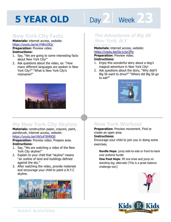# **Day 2 Week 2.3**

#### **New York City Facts**

**Materials:** internet access, website: https://youtu.be/eLYH8viJ5Qc

**Preparation:** Preview video. **Instructions:** 

- 1. Say, "We are going to some interesting facts about New York City!"
- 2. Ask questions about the video, ex: "How many different languages are spoken in New York City?" "What is New York City's nickname?"



## **My New York City Skyline**

**Materials:** construction paper, crayons, paint, paintbrush, internet access, website: https://youtu.be/UN3uF3990Q0

**Preparation:** Preview video. Prepare area. **Instructions:** 

- 1. Say, "We are watching a video of the New York City skyline!"
- 2. Explain to your child that "skyline" means "an outline of land and buildings defined against the sky."
- 3. After watching the video, provide materials and encourage your child to paint a N.Y.C skyline.



## **The Adventures of Big Sil New York, N,Y by A.J Bennett**

**Materials:** internet access, website:<br>https://youtu.be/Gs-Lcjyr2Pg<br>**Preparation:** Preview video.

https://youtu.be/Gs-Lcjyr2Pg

**Preparation:** Preview video.

#### **Instructions:**

- 1. Enjoy this wonderful story about a dog's magical adventure in New York City!
- 2. Ask questions about the story, "Why didn't Big Sil want to drive?" "Where did Big Sil go to eat?"



## **New York Workout**

**Preparation:** Preview movement. Find or create an open area.

#### **Instructions:**

Encourage your child to join you in doing some exercises.

**Hurdle Hops**: jump side-to-side or front-to-back over pretend hurdle

**One-Foot Hops**: lift one knee and jump on standing leg; alternate (This is a great balance challenge too!)



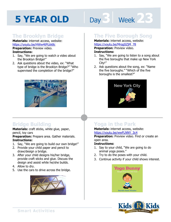# Day 3 **Week** 23

## **The Brooklyn Bridge**

**Materials:** internet access, website: https://youtu.be/HWw4tPUzk8c **Preparation:** Preview video.

**Instructions:** 

- 1. Say, "We are going to watch a video about the Brooklyn Bridge!"
- 2. Ask questions about the video, ex: "What type of bridge is the Brooklyn Bridge?" "Who supervised the completion of the bridge?"



## **Bridge Building**

**Materials:** craft sticks, white glue, paper, pencil, toy cars

**Preparation:** Prepare area. Gather materials. **Instructions:** 

- 1. Say, "We are going to build our own bridge!"
- 2. Provide your child paper and pencil to draw/design a bridge.
- 3. After your child designs his/her bridge, provide craft sticks and glue. Discuss the design and assist while he/she builds.
- 4. Allow to dry.
- 5. Use the cars to drive across the bridge.



#### **The Five Borough Song**

**Materials:** internet access, website: https://youtu.be/MrqgSZjM\_78

**Preparation:** Preview video.

#### **Instructions:**

- **IRCDS.//YOUGLIDE/PRIGGS2.ppm 70**<br>**Preparation:** Preview video.<br>**Instructions:**<br>1. Say, "We are going to listen to a song about the five boroughs that make up New York City!"
- 2. Ask questions about the song, ex: "Name the five boroughs." "Which of the five boroughs is the smallest?"



## **Yoga in the Park**

#### **Materials:** internet access, website: https://youtu.be/wwFLNNY\_3c4

**Preparation:** Preview video. Find or create an open area.

#### **Instructions:**

- 1. Say to your child, "We are going to do animal yoga poses."
- 2. Try to do the poses with your child.
- 3. Continue activity if your child shows interest.



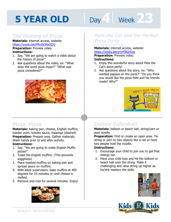# Day 1 Week 23

#### **The History of Pizza**

**Materials:** internet access, website: https://youtu.be/PRn5iONxSQQ

**Preparation:** Preview video. **Instructions:** 

- 1. Say, "We are going to watch a video about the history of pizza!"
- 2. Ask questions about the video, ex: "What does the word pizza mean?" "What was pizza considered?"



## **Pete the Cat and the Perfect Pizza Party by Kimberly & James Dean**

Materials: internet access, website:<br>https://youtu.be/yrVrFBGi43w<br>**Preparation:** Preview video.

https://youtu.be/yrVrFBGi43w

**Preparation:** Preview video.

#### **Instructions:**

- 1. Enjoy this wonderful story about Pete the Cat's pizza party!
- 2. Ask questions about the story, ex: "Who wanted papaya on the pizza?" "Do you think you would like the pizza Pete and his friends made? Why?"



#### **Pizza, Pizza**

**Materials:** baking pan, cheese, English muffins, toaster oven, tomato sauce, toppings (desired) **Preparation:** Prepare area. Gather materials. Wash hands prior to and after activity.

#### **Instructions:**

- 1. Say, "We are going to make English Muffin pizzas!"
- 2. Toast the English muffins. (This prevents sogginess)
- 3. Place toasted muffins on baking pan and spread sauce on muffins.
- 4. With adult supervision, bake muffins at 400 degrees for 10 minutes or until cheese is melted.
- 5. Remove and cool for several minutes. Enjoy!



## **Indoor Volleyball**

**Materials:** balloon or beach ball, string/yarn or pool noodle

**Preparation:** Find or create an open area. Tie string or yarn to two objects like a net or have two people hold the noodle.

#### **Instructions:**

- 1. Encourage your child to join you to get that energy out.
- 2. Have your child toss and hit the balloon or beach ball over the string. Make it challenging and raise string up higher as he/she masters the skills.